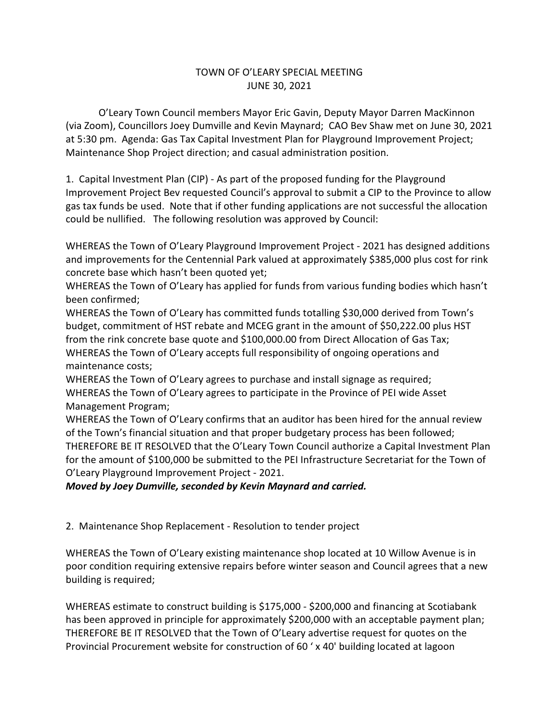## TOWN OF O'LEARY SPECIAL MEETING JUNE 30, 2021

O'Leary Town Council members Mayor Eric Gavin, Deputy Mayor Darren MacKinnon (via Zoom), Councillors Joey Dumville and Kevin Maynard; CAO Bev Shaw met on June 30, 2021 at 5:30 pm. Agenda: Gas Tax Capital Investment Plan for Playground Improvement Project; Maintenance Shop Project direction; and casual administration position.

1. Capital Investment Plan (CIP) - As part of the proposed funding for the Playground Improvement Project Bev requested Council's approval to submit a CIP to the Province to allow gas tax funds be used. Note that if other funding applications are not successful the allocation could be nullified. The following resolution was approved by Council:

WHEREAS the Town of O'Leary Playground Improvement Project - 2021 has designed additions and improvements for the Centennial Park valued at approximately \$385,000 plus cost for rink concrete base which hasn't been quoted yet;

WHEREAS the Town of O'Leary has applied for funds from various funding bodies which hasn't been confirmed;

WHEREAS the Town of O'Leary has committed funds totalling \$30,000 derived from Town's budget, commitment of HST rebate and MCEG grant in the amount of \$50,222.00 plus HST from the rink concrete base quote and \$100,000.00 from Direct Allocation of Gas Tax; WHEREAS the Town of O'Leary accepts full responsibility of ongoing operations and maintenance costs;

WHEREAS the Town of O'Leary agrees to purchase and install signage as required; WHEREAS the Town of O'Leary agrees to participate in the Province of PEI wide Asset Management Program;

WHEREAS the Town of O'Leary confirms that an auditor has been hired for the annual review of the Town's financial situation and that proper budgetary process has been followed; THEREFORE BE IT RESOLVED that the O'Leary Town Council authorize a Capital Investment Plan for the amount of \$100,000 be submitted to the PEI Infrastructure Secretariat for the Town of O'Leary Playground Improvement Project - 2021.

*Moved by Joey Dumville, seconded by Kevin Maynard and carried.*

2. Maintenance Shop Replacement - Resolution to tender project

WHEREAS the Town of O'Leary existing maintenance shop located at 10 Willow Avenue is in poor condition requiring extensive repairs before winter season and Council agrees that a new building is required;

WHEREAS estimate to construct building is \$175,000 - \$200,000 and financing at Scotiabank has been approved in principle for approximately \$200,000 with an acceptable payment plan; THEREFORE BE IT RESOLVED that the Town of O'Leary advertise request for quotes on the Provincial Procurement website for construction of 60 ' x 40' building located at lagoon